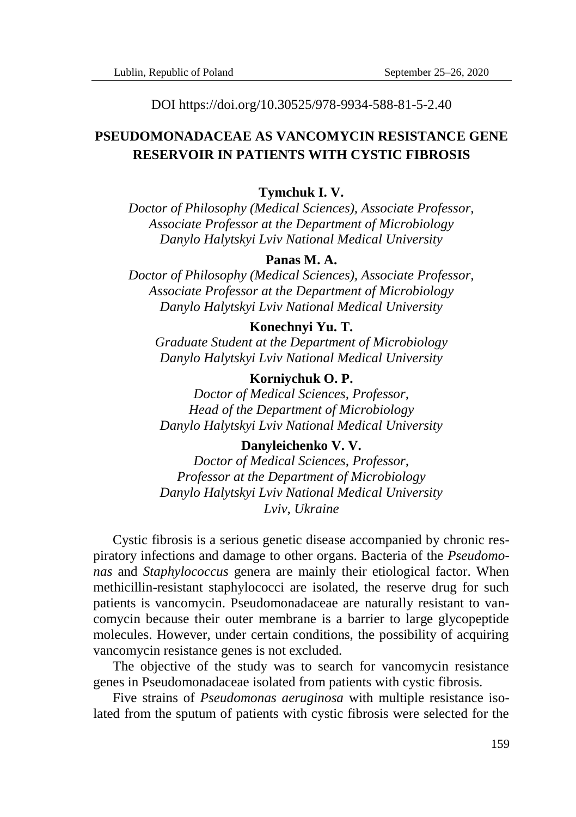DOI https://doi.org/10.30525/978-9934-588-81-5-2.40

# **PSEUDOMONADACEAE AS VANCOMYCIN RESISTANCE GENE RESERVOIR IN PATIENTS WITH CYSTIC FIBROSIS**

## **Tymchuk I. V.**

*Doctor of Philosophy (Medical Sciences), Associate Professor, Associate Professor at the Department of Microbiology Danylo Halytskyi Lviv National Medical University*

## **Panas M. A.**

*Doctor of Philosophy (Medical Sciences), Associate Professor, Associate Professor at the Department of Microbiology Danylo Halytskyi Lviv National Medical University*

#### **Konechnyi Yu. T.**

*Graduate Student at the Department of Microbiology Danylo Halytskyi Lviv National Medical University*

#### **Korniychuk O. P.**

*Doctor of Medical Sciences, Professor, Head of the Department of Microbiology Danylo Halytskyi Lviv National Medical University*

#### **Danyleichenko V. V.**

*Doctor of Medical Sciences, Professor, Professor at the Department of Microbiology Danylo Halytskyi Lviv National Medical University Lviv, Ukraine*

Cystic fibrosis is a serious genetic disease accompanied by chronic respiratory infections and damage to other organs. Bacteria of the *Pseudomonas* and *Staphylococcus* genera are mainly their etiological factor. When methicillin-resistant staphylococci are isolated, the reserve drug for such patients is vancomycin. Pseudomonadaceae are naturally resistant to vancomycin because their outer membrane is a barrier to large glycopeptide molecules. However, under certain conditions, the possibility of acquiring vancomycin resistance genes is not excluded.

The objective of the study was to search for vancomycin resistance genes in Pseudomonadaceae isolated from patients with cystic fibrosis.

Five strains of *Pseudomonas aeruginosa* with multiple resistance isolated from the sputum of patients with cystic fibrosis were selected for the